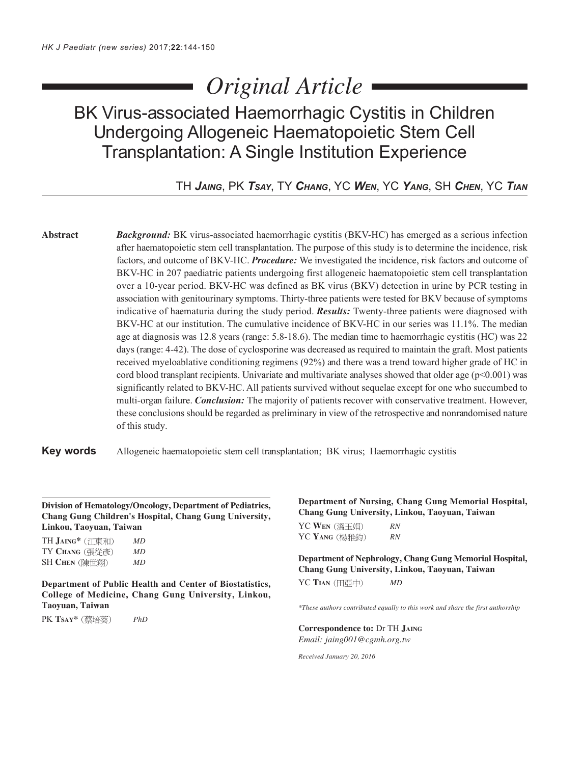# *Original Article*

# BK Virus-associated Haemorrhagic Cystitis in Children Undergoing Allogeneic Haematopoietic Stem Cell Transplantation: A Single Institution Experience

TH *JAING*, PK *TSAY*, TY *CHANG*, YC *WEN*, YC *YANG*, SH *CHEN*, YC *TIAN*

**Abstract** *Background:* BK virus-associated haemorrhagic cystitis (BKV-HC) has emerged as a serious infection after haematopoietic stem cell transplantation. The purpose of this study is to determine the incidence, risk factors, and outcome of BKV-HC. *Procedure:* We investigated the incidence, risk factors and outcome of BKV-HC in 207 paediatric patients undergoing first allogeneic haematopoietic stem cell transplantation over a 10-year period. BKV-HC was defined as BK virus (BKV) detection in urine by PCR testing in association with genitourinary symptoms. Thirty-three patients were tested for BKV because of symptoms indicative of haematuria during the study period. *Results:* Twenty-three patients were diagnosed with BKV-HC at our institution. The cumulative incidence of BKV-HC in our series was 11.1%. The median age at diagnosis was 12.8 years (range: 5.8-18.6). The median time to haemorrhagic cystitis (HC) was 22 days (range: 4-42). The dose of cyclosporine was decreased as required to maintain the graft. Most patients received myeloablative conditioning regimens (92%) and there was a trend toward higher grade of HC in cord blood transplant recipients. Univariate and multivariate analyses showed that older age (p<0.001) was significantly related to BKV-HC. All patients survived without sequelae except for one who succumbed to multi-organ failure. *Conclusion:* The majority of patients recover with conservative treatment. However, these conclusions should be regarded as preliminary in view of the retrospective and nonrandomised nature of this study.

**Key words** Allogeneic haematopoietic stem cell transplantation; BK virus; Haemorrhagic cystitis

**Division of Hematology/Oncology, Department of Pediatrics, Chang Gung Children's Hospital, Chang Gung University, Linkou, Taoyuan, Taiwan**

TH **JAING\*** *MD* TY **CHANG** *MD* SH **CHEN** *MD*

**Department of Public Health and Center of Biostatistics, College of Medicine, Chang Gung University, Linkou, Taoyuan, Taiwan**

PK **TSAY\*** *PhD*

**Department of Nursing, Chang Gung Memorial Hospital, Chang Gung University, Linkou, Taoyuan, Taiwan** YC **WEN** *RN* YC **YANG** *RN*

**Department of Nephrology, Chang Gung Memorial Hospital, Chang Gung University, Linkou, Taoyuan, Taiwan** YC **TIAN** *MD*

*\*These authors contributed equally to this work and share the first authorship*

**Correspondence to:** Dr TH **JAING** *Email: jaing001@cgmh.org.tw*

*Received January 20, 2016*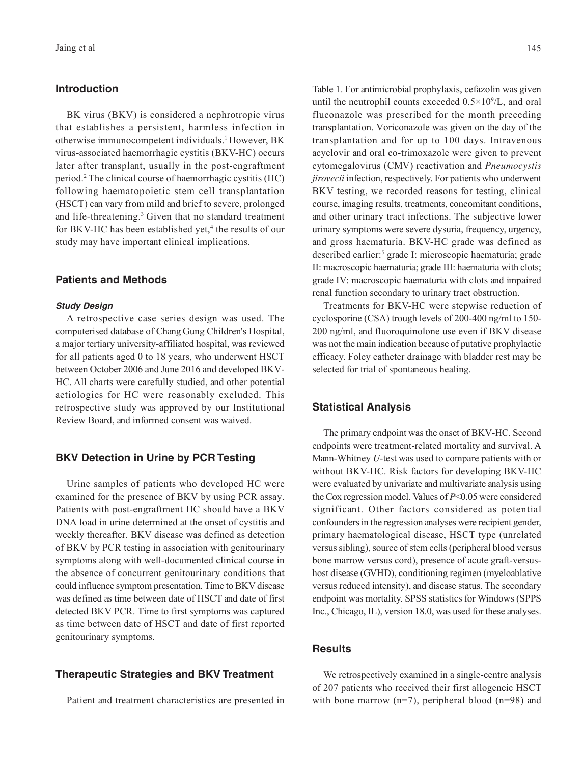#### **Introduction**

BK virus (BKV) is considered a nephrotropic virus that establishes a persistent, harmless infection in otherwise immunocompetent individuals.1 However, BK virus-associated haemorrhagic cystitis (BKV-HC) occurs later after transplant, usually in the post-engraftment period.2 The clinical course of haemorrhagic cystitis (HC) following haematopoietic stem cell transplantation (HSCT) can vary from mild and brief to severe, prolonged and life-threatening.<sup>3</sup> Given that no standard treatment for BKV-HC has been established yet,<sup>4</sup> the results of our study may have important clinical implications.

# **Patients and Methods**

#### **Study Design**

A retrospective case series design was used. The computerised database of Chang Gung Children's Hospital, a major tertiary university-affiliated hospital, was reviewed for all patients aged 0 to 18 years, who underwent HSCT between October 2006 and June 2016 and developed BKV-HC. All charts were carefully studied, and other potential aetiologies for HC were reasonably excluded. This retrospective study was approved by our Institutional Review Board, and informed consent was waived.

# **BKV Detection in Urine by PCR Testing**

Urine samples of patients who developed HC were examined for the presence of BKV by using PCR assay. Patients with post-engraftment HC should have a BKV DNA load in urine determined at the onset of cystitis and weekly thereafter. BKV disease was defined as detection of BKV by PCR testing in association with genitourinary symptoms along with well-documented clinical course in the absence of concurrent genitourinary conditions that could influence symptom presentation. Time to BKV disease was defined as time between date of HSCT and date of first detected BKV PCR. Time to first symptoms was captured as time between date of HSCT and date of first reported genitourinary symptoms.

# **Therapeutic Strategies and BKV Treatment**

Patient and treatment characteristics are presented in

Table 1. For antimicrobial prophylaxis, cefazolin was given until the neutrophil counts exceeded  $0.5 \times 10^9$ /L, and oral fluconazole was prescribed for the month preceding transplantation. Voriconazole was given on the day of the transplantation and for up to 100 days. Intravenous acyclovir and oral co-trimoxazole were given to prevent cytomegalovirus (CMV) reactivation and *Pneumocystis jirovecii* infection, respectively. For patients who underwent BKV testing, we recorded reasons for testing, clinical course, imaging results, treatments, concomitant conditions, and other urinary tract infections. The subjective lower urinary symptoms were severe dysuria, frequency, urgency, and gross haematuria. BKV-HC grade was defined as described earlier:<sup>5</sup> grade I: microscopic haematuria; grade II: macroscopic haematuria; grade III: haematuria with clots; grade IV: macroscopic haematuria with clots and impaired renal function secondary to urinary tract obstruction.

Treatments for BKV-HC were stepwise reduction of cyclosporine (CSA) trough levels of 200-400 ng/ml to 150- 200 ng/ml, and fluoroquinolone use even if BKV disease was not the main indication because of putative prophylactic efficacy. Foley catheter drainage with bladder rest may be selected for trial of spontaneous healing.

#### **Statistical Analysis**

The primary endpoint was the onset of BKV-HC. Second endpoints were treatment-related mortality and survival. A Mann-Whitney *U*-test was used to compare patients with or without BKV-HC. Risk factors for developing BKV-HC were evaluated by univariate and multivariate analysis using the Cox regression model. Values of *P*<0.05 were considered significant. Other factors considered as potential confounders in the regression analyses were recipient gender, primary haematological disease, HSCT type (unrelated versus sibling), source of stem cells (peripheral blood versus bone marrow versus cord), presence of acute graft-versushost disease (GVHD), conditioning regimen (myeloablative versus reduced intensity), and disease status. The secondary endpoint was mortality. SPSS statistics for Windows (SPPS Inc., Chicago, IL), version 18.0, was used for these analyses.

# **Results**

We retrospectively examined in a single-centre analysis of 207 patients who received their first allogeneic HSCT with bone marrow  $(n=7)$ , peripheral blood  $(n=98)$  and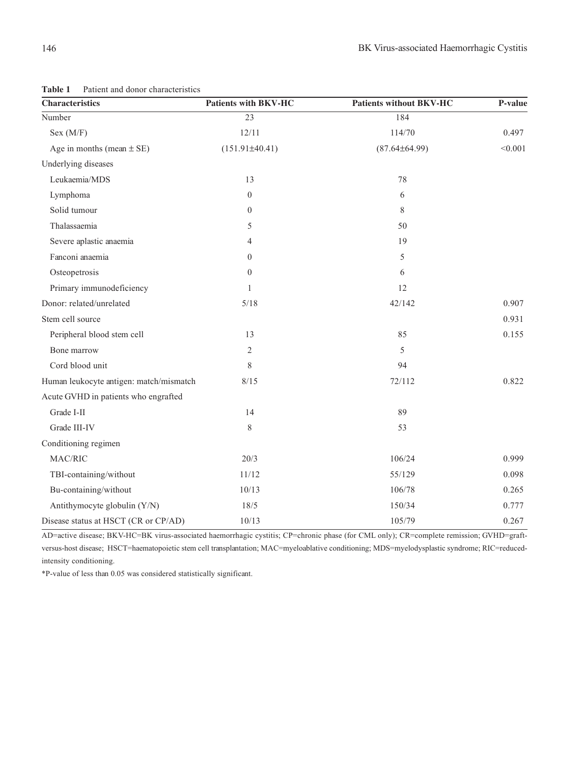| <b>Characteristics</b>                  | <b>Patients with BKV-HC</b> | <b>Patients without BKV-HC</b> | P-value |
|-----------------------------------------|-----------------------------|--------------------------------|---------|
| Number                                  | $\overline{23}$             | 184                            |         |
| Sex (M/F)                               | 12/11                       | 114/70                         | 0.497   |
| Age in months (mean $\pm$ SE)           | $(151.91\pm40.41)$          | $(87.64\pm64.99)$              | < 0.001 |
| Underlying diseases                     |                             |                                |         |
| Leukaemia/MDS                           | 13                          | 78                             |         |
| Lymphoma                                | $\mathbf{0}$                | 6                              |         |
| Solid tumour                            | $\theta$                    | 8                              |         |
| Thalassaemia                            | 5                           | 50                             |         |
| Severe aplastic anaemia                 | 4                           | 19                             |         |
| Fanconi anaemia                         | $\boldsymbol{0}$            | 5                              |         |
| Osteopetrosis                           | $\theta$                    | 6                              |         |
| Primary immunodeficiency                | 1                           | 12                             |         |
| Donor: related/unrelated                | 5/18                        | 42/142                         | 0.907   |
| Stem cell source                        |                             |                                | 0.931   |
| Peripheral blood stem cell              | 13                          | 85                             | 0.155   |
| Bone marrow                             | $\overline{c}$              | 5                              |         |
| Cord blood unit                         | 8                           | 94                             |         |
| Human leukocyte antigen: match/mismatch | 8/15                        | 72/112                         | 0.822   |
| Acute GVHD in patients who engrafted    |                             |                                |         |
| Grade I-II                              | 14                          | 89                             |         |
| Grade III-IV                            | 8                           | 53                             |         |
| Conditioning regimen                    |                             |                                |         |
| MAC/RIC                                 | 20/3                        | 106/24                         | 0.999   |
| TBI-containing/without                  | 11/12                       | 55/129                         | 0.098   |
| Bu-containing/without                   | 10/13                       | 106/78                         | 0.265   |
| Antithymocyte globulin (Y/N)            | $18/5$                      | 150/34                         | 0.777   |
| Disease status at HSCT (CR or CP/AD)    | 10/13                       | 105/79                         | 0.267   |

**Table 1** Patient and donor characteristics

AD=active disease; BKV-HC=BK virus-associated haemorrhagic cystitis; CP=chronic phase (for CML only); CR=complete remission; GVHD=graftversus-host disease; HSCT=haematopoietic stem cell transplantation; MAC=myeloablative conditioning; MDS=myelodysplastic syndrome; RIC=reducedintensity conditioning.

\*P-value of less than 0.05 was considered statistically significant.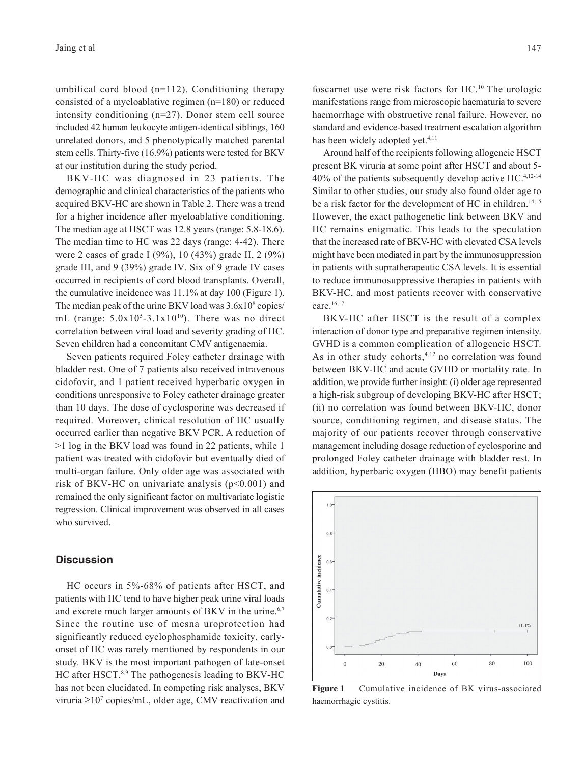umbilical cord blood (n=112). Conditioning therapy consisted of a myeloablative regimen (n=180) or reduced intensity conditioning (n=27). Donor stem cell source included 42 human leukocyte antigen-identical siblings, 160 unrelated donors, and 5 phenotypically matched parental stem cells. Thirty-five (16.9%) patients were tested for BKV at our institution during the study period.

BKV-HC was diagnosed in 23 patients. The demographic and clinical characteristics of the patients who acquired BKV-HC are shown in Table 2. There was a trend for a higher incidence after myeloablative conditioning. The median age at HSCT was 12.8 years (range: 5.8-18.6). The median time to HC was 22 days (range: 4-42). There were 2 cases of grade I (9%), 10 (43%) grade II, 2 (9%) grade III, and 9 (39%) grade IV. Six of 9 grade IV cases occurred in recipients of cord blood transplants. Overall, the cumulative incidence was 11.1% at day 100 (Figure 1). The median peak of the urine BKV load was  $3.6x10^8$  copies/ mL (range:  $5.0x10<sup>5</sup>-3.1x10<sup>10</sup>$ ). There was no direct correlation between viral load and severity grading of HC. Seven children had a concomitant CMV antigenaemia.

Seven patients required Foley catheter drainage with bladder rest. One of 7 patients also received intravenous cidofovir, and 1 patient received hyperbaric oxygen in conditions unresponsive to Foley catheter drainage greater than 10 days. The dose of cyclosporine was decreased if required. Moreover, clinical resolution of HC usually occurred earlier than negative BKV PCR. A reduction of >1 log in the BKV load was found in 22 patients, while 1 patient was treated with cidofovir but eventually died of multi-organ failure. Only older age was associated with risk of BKV-HC on univariate analysis ( $p<0.001$ ) and remained the only significant factor on multivariate logistic regression. Clinical improvement was observed in all cases who survived.

# **Discussion**

HC occurs in 5%-68% of patients after HSCT, and patients with HC tend to have higher peak urine viral loads and excrete much larger amounts of BKV in the urine.<sup>6,7</sup> Since the routine use of mesna uroprotection had significantly reduced cyclophosphamide toxicity, earlyonset of HC was rarely mentioned by respondents in our study. BKV is the most important pathogen of late-onset HC after HSCT.<sup>8,9</sup> The pathogenesis leading to BKV-HC has not been elucidated. In competing risk analyses, BKV viruria ≥107 copies/mL, older age, CMV reactivation and

foscarnet use were risk factors for HC.10 The urologic manifestations range from microscopic haematuria to severe haemorrhage with obstructive renal failure. However, no standard and evidence-based treatment escalation algorithm has been widely adopted yet.<sup>4,11</sup>

Around half of the recipients following allogeneic HSCT present BK viruria at some point after HSCT and about 5- 40% of the patients subsequently develop active HC.4,12-14 Similar to other studies, our study also found older age to be a risk factor for the development of HC in children.<sup>14,15</sup> However, the exact pathogenetic link between BKV and HC remains enigmatic. This leads to the speculation that the increased rate of BKV-HC with elevated CSA levels might have been mediated in part by the immunosuppression in patients with supratherapeutic CSA levels. It is essential to reduce immunosuppressive therapies in patients with BKV-HC, and most patients recover with conservative care.<sup>16,17</sup>

BKV-HC after HSCT is the result of a complex interaction of donor type and preparative regimen intensity. GVHD is a common complication of allogeneic HSCT. As in other study cohorts,<sup>4,12</sup> no correlation was found between BKV-HC and acute GVHD or mortality rate. In addition, we provide further insight: (i) older age represented a high-risk subgroup of developing BKV-HC after HSCT; (ii) no correlation was found between BKV-HC, donor source, conditioning regimen, and disease status. The majority of our patients recover through conservative management including dosage reduction of cyclosporine and prolonged Foley catheter drainage with bladder rest. In addition, hyperbaric oxygen (HBO) may benefit patients



**Figure 1** Cumulative incidence of BK virus-associated haemorrhagic cystitis.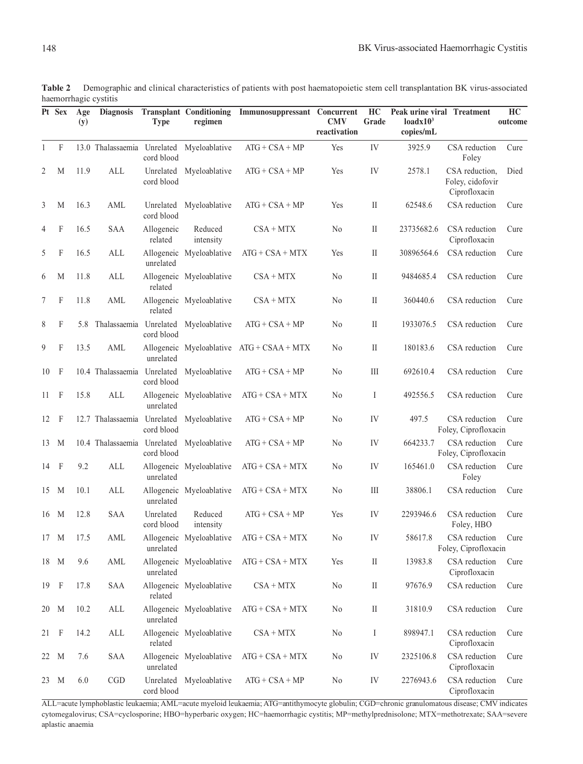|    | Pt Sex | Age<br>(y) | <b>Diagnosis</b>            | <b>Type</b>             | <b>Transplant Conditioning</b><br>regimen | Immunosuppressant Concurrent                | <b>CMV</b><br>reactivation | HC<br>Grade | Peak urine viral Treatment<br>loadx10 <sup>3</sup><br>copies/mL |                                                     | HC<br>outcome |
|----|--------|------------|-----------------------------|-------------------------|-------------------------------------------|---------------------------------------------|----------------------------|-------------|-----------------------------------------------------------------|-----------------------------------------------------|---------------|
| 1  | F      |            |                             | cord blood              | 13.0 Thalassaemia Unrelated Myeloablative | $ATG + CSA + MP$                            | Yes                        | IV          | 3925.9                                                          | CSA reduction<br>Foley                              | Cure          |
| 2  | M      | 11.9       | ALL                         | cord blood              | Unrelated Myeloablative                   | $ATG + CSA + MP$                            | Yes                        | IV          | 2578.1                                                          | CSA reduction,<br>Foley, cidofovir<br>Ciprofloxacin | Died          |
| 3  | M      | 16.3       | AML                         | cord blood              | Unrelated Myeloablative                   | $ATG + CSA + MP$                            | Yes                        | $\rm{II}$   | 62548.6                                                         | CSA reduction                                       | Cure          |
| 4  | F      | 16.5       | SAA                         | Allogeneic<br>related   | Reduced<br>intensity                      | $CSA + MTX$                                 | N <sub>0</sub>             | $\rm II$    | 23735682.6                                                      | CSA reduction<br>Ciprofloxacin                      | Cure          |
| 5  | F      | 16.5       | ALL                         | unrelated               | Allogeneic Myeloablative                  | $ATG + CSA + MTX$                           | Yes                        | $\rm II$    | 30896564.6                                                      | CSA reduction                                       | Cure          |
| 6  | М      | 11.8       | ALL                         | related                 | Allogeneic Myeloablative                  | $CSA + MTX$                                 | N <sub>0</sub>             | $\rm II$    | 9484685.4                                                       | CSA reduction                                       | Cure          |
| 7  | F      | 11.8       | AML                         | related                 | Allogeneic Myeloablative                  | $CSA + MTX$                                 | N <sub>0</sub>             | $\rm II$    | 360440.6                                                        | CSA reduction                                       | Cure          |
| 8  | F      | 5.8        |                             | cord blood              | Thalassaemia Unrelated Myeloablative      | $ATG + CSA + MP$                            | N <sub>0</sub>             | $\rm II$    | 1933076.5                                                       | CSA reduction                                       | Cure          |
| 9  | F      | 13.5       | AML                         | unrelated               |                                           | Allogeneic Myeloablative $ATG + CSAA + MTX$ | No                         | $\rm II$    | 180183.6                                                        | CSA reduction                                       | Cure          |
| 10 | F      |            | 10.4 Thalassaemia           | cord blood              | Unrelated Myeloablative                   | $ATG + CSA + MP$                            | No                         | Ш           | 692610.4                                                        | CSA reduction                                       | Cure          |
| 11 | F      | 15.8       | ALL                         | unrelated               | Allogeneic Myeloablative                  | $ATG + CSA + MTX$                           | No                         | Ι           | 492556.5                                                        | CSA reduction                                       | Cure          |
| 12 | F      |            | 12.7 Thalassaemia           | Unrelated<br>cord blood | Myeloablative                             | $ATG + CSA + MP$                            | No                         | IV          | 497.5                                                           | CSA reduction<br>Foley, Ciprofloxacin               | Cure          |
| 13 | M      |            | 10.4 Thalassaemia Unrelated | cord blood              | Myeloablative                             | $ATG + CSA + MP$                            | No                         | IV          | 664233.7                                                        | CSA reduction<br>Foley, Ciprofloxacin               | Cure          |
| 14 | F      | 9.2        | ALL                         | unrelated               | Allogeneic Myeloablative                  | $ATG + CSA + MTX$                           | No                         | IV          | 165461.0                                                        | CSA reduction<br>Foley                              | Cure          |
|    | 15 M   | 10.1       | ALL                         | unrelated               | Allogeneic Myeloablative                  | $ATG + CSA + MTX$                           | N <sub>0</sub>             | Ш           | 38806.1                                                         | CSA reduction                                       | Cure          |
|    | 16 M   | 12.8       | <b>SAA</b>                  | Unrelated<br>cord blood | Reduced<br>intensity                      | $ATG + CSA + MP$                            | Yes                        | IV          | 2293946.6                                                       | CSA reduction<br>Foley, HBO                         | Cure          |
|    | 17 M   | 17.5       | AML                         | unrelated               | Allogeneic Myeloablative                  | $ATG + CSA + MTX$                           | N <sub>0</sub>             | IV          | 58617.8                                                         | CSA reduction<br>Foley, Ciprofloxacin               | Cure          |
|    | 18 M   | 9.6        | AML                         | unrelated               | Allogeneic Myeloablative                  | $ATG + CSA + MTX$                           | Yes                        | $\rm II$    | 13983.8                                                         | CSA reduction<br>Ciprofloxacin                      | Cure          |
|    | 19 F   | 17.8       | SAA                         | related                 | Allogeneic Myeloablative                  | $CSA + MTX$                                 | $\rm No$                   | $\rm II$    | 97676.9                                                         | CSA reduction                                       | Cure          |
|    | 20 M   | 10.2       | $\mbox{ALL}$                | unrelated               | Allogeneic Myeloablative                  | $ATG + CSA + MTX$                           | No                         | $\rm II$    | 31810.9                                                         | CSA reduction                                       | Cure          |
| 21 | F      | 14.2       | $\mbox{ALL}$                | related                 | Allogeneic Myeloablative                  | $CSA + MTX$                                 | No                         | I           | 898947.1                                                        | CSA reduction<br>Ciprofloxacin                      | Cure          |
|    | 22 M   | 7.6        | SAA                         | unrelated               | Allogeneic Myeloablative                  | $ATG + CSA + MTX$                           | N <sub>0</sub>             | IV          | 2325106.8                                                       | CSA reduction<br>Ciprofloxacin                      | Cure          |
|    | 23 M   | 6.0        | CGD                         | Unrelated<br>cord blood | Myeloablative                             | $ATG + CSA + MP$                            | No                         | ${\rm IV}$  | 2276943.6                                                       | CSA reduction<br>Ciprofloxacin                      | Cure          |

**Table 2** Demographic and clinical characteristics of patients with post haematopoietic stem cell transplantation BK virus-associated haemorrhagic cystitis

ALL=acute lymphoblastic leukaemia; AML=acute myeloid leukaemia; ATG=antithymocyte globulin; CGD=chronic granulomatous disease; CMV indicates cytomegalovirus; CSA=cyclosporine; HBO=hyperbaric oxygen; HC=haemorrhagic cystitis; MP=methylprednisolone; MTX=methotrexate; SAA=severe aplastic anaemia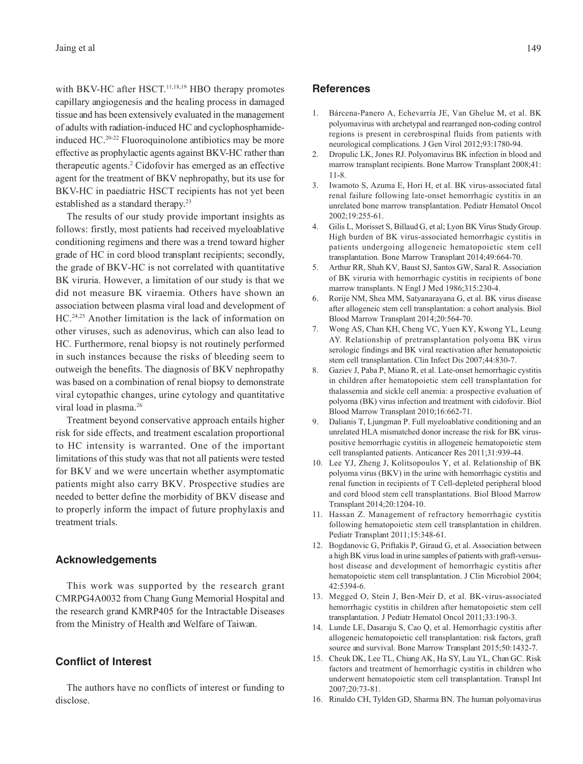with BKV-HC after HSCT.<sup>11,18,19</sup> HBO therapy promotes capillary angiogenesis and the healing process in damaged tissue and has been extensively evaluated in the management of adults with radiation-induced HC and cyclophosphamideinduced HC.20-22 Fluoroquinolone antibiotics may be more effective as prophylactic agents against BKV-HC rather than therapeutic agents.2 Cidofovir has emerged as an effective agent for the treatment of BKV nephropathy, but its use for BKV-HC in paediatric HSCT recipients has not yet been established as a standard therapy.23

The results of our study provide important insights as follows: firstly, most patients had received myeloablative conditioning regimens and there was a trend toward higher grade of HC in cord blood transplant recipients; secondly, the grade of BKV-HC is not correlated with quantitative BK viruria. However, a limitation of our study is that we did not measure BK viraemia. Others have shown an association between plasma viral load and development of HC.24,25 Another limitation is the lack of information on other viruses, such as adenovirus, which can also lead to HC. Furthermore, renal biopsy is not routinely performed in such instances because the risks of bleeding seem to outweigh the benefits. The diagnosis of BKV nephropathy was based on a combination of renal biopsy to demonstrate viral cytopathic changes, urine cytology and quantitative viral load in plasma.<sup>26</sup>

Treatment beyond conservative approach entails higher risk for side effects, and treatment escalation proportional to HC intensity is warranted. One of the important limitations of this study was that not all patients were tested for BKV and we were uncertain whether asymptomatic patients might also carry BKV. Prospective studies are needed to better define the morbidity of BKV disease and to properly inform the impact of future prophylaxis and treatment trials.

# **Acknowledgements**

This work was supported by the research grant CMRPG4A0032 from Chang Gung Memorial Hospital and the research grand KMRP405 for the Intractable Diseases from the Ministry of Health and Welfare of Taiwan.

#### **Conflict of Interest**

The authors have no conflicts of interest or funding to disclose.

#### **References**

- 1. Bárcena-Panero A, Echevarría JE, Van Ghelue M, et al. BK polyomavirus with archetypal and rearranged non-coding control regions is present in cerebrospinal fluids from patients with neurological complications. J Gen Virol 2012;93:1780-94.
- 2. Dropulic LK, Jones RJ. Polyomavirus BK infection in blood and marrow transplant recipients. Bone Marrow Transplant 2008;41: 11-8.
- 3. Iwamoto S, Azuma E, Hori H, et al. BK virus-associated fatal renal failure following late-onset hemorrhagic cystitis in an unrelated bone marrow transplantation. Pediatr Hematol Oncol 2002;19:255-61.
- 4. Gilis L, Morisset S, Billaud G, et al; Lyon BK Virus Study Group. High burden of BK virus-associated hemorrhagic cystitis in patients undergoing allogeneic hematopoietic stem cell transplantation. Bone Marrow Transplant 2014;49:664-70.
- 5. Arthur RR, Shah KV, Baust SJ, Santos GW, Saral R. Association of BK viruria with hemorrhagic cystitis in recipients of bone marrow transplants. N Engl J Med 1986;315:230-4.
- 6. Rorije NM, Shea MM, Satyanarayana G, et al. BK virus disease after allogeneic stem cell transplantation: a cohort analysis. Biol Blood Marrow Transplant 2014;20:564-70.
- 7. Wong AS, Chan KH, Cheng VC, Yuen KY, Kwong YL, Leung AY. Relationship of pretransplantation polyoma BK virus serologic findings and BK viral reactivation after hematopoietic stem cell transplantation. Clin Infect Dis 2007;44:830-7.
- 8. Gaziev J, Paba P, Miano R, et al. Late-onset hemorrhagic cystitis in children after hematopoietic stem cell transplantation for thalassemia and sickle cell anemia: a prospective evaluation of polyoma (BK) virus infection and treatment with cidofovir. Biol Blood Marrow Transplant 2010;16:662-71.
- 9. Dalianis T, Ljungman P. Full myeloablative conditioning and an unrelated HLA mismatched donor increase the risk for BK viruspositive hemorrhagic cystitis in allogeneic hematopoietic stem cell transplanted patients. Anticancer Res 2011;31:939-44.
- 10. Lee YJ, Zheng J, Kolitsopoulos Y, et al. Relationship of BK polyoma virus (BKV) in the urine with hemorrhagic cystitis and renal function in recipients of T Cell-depleted peripheral blood and cord blood stem cell transplantations. Biol Blood Marrow Transplant 2014;20:1204-10.
- 11. Hassan Z. Management of refractory hemorrhagic cystitis following hematopoietic stem cell transplantation in children. Pediatr Transplant 2011;15:348-61.
- 12. Bogdanovic G, Priftakis P, Giraud G, et al. Association between a high BK virus load in urine samples of patients with graft-versushost disease and development of hemorrhagic cystitis after hematopoietic stem cell transplantation. J Clin Microbiol 2004; 42:5394-6.
- 13. Megged O, Stein J, Ben-Meir D, et al. BK-virus-associated hemorrhagic cystitis in children after hematopoietic stem cell transplantation. J Pediatr Hematol Oncol 2011;33:190-3.
- 14. Lunde LE, Dasaraju S, Cao Q, et al. Hemorrhagic cystitis after allogeneic hematopoietic cell transplantation: risk factors, graft source and survival. Bone Marrow Transplant 2015;50:1432-7.
- 15. Cheuk DK, Lee TL, Chiang AK, Ha SY, Lau YL, Chan GC. Risk factors and treatment of hemorrhagic cystitis in children who underwent hematopoietic stem cell transplantation. Transpl Int 2007;20:73-81.
- 16. Rinaldo CH, Tylden GD, Sharma BN. The human polyomavirus